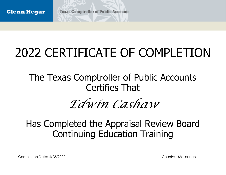## 2022 CERTIFICATE OF COMPLETION

The Texas Comptroller of Public Accounts Certifies That

### *Edwin Cashaw*

#### Has Completed the Appraisal Review Board Continuing Education Training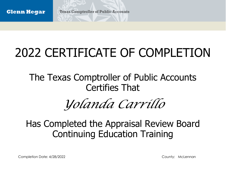# 2022 CERTIFICATE OF COMPLETION

The Texas Comptroller of Public Accounts Certifies That

*Yolanda Carrillo*

#### Has Completed the Appraisal Review Board Continuing Education Training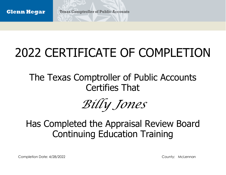## 2022 CERTIFICATE OF COMPLETION

The Texas Comptroller of Public Accounts Certifies That

*Billy Jones*

#### Has Completed the Appraisal Review Board Continuing Education Training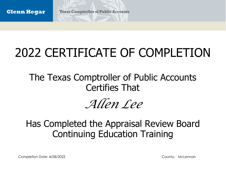## 2022 CERTIFICATE OF COMPLETION

The Texas Comptroller of Public Accounts Certifies That

*Allen Lee*

#### Has Completed the Appraisal Review Board Continuing Education Training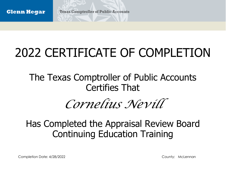## 2022 CERTIFICATE OF COMPLETION

The Texas Comptroller of Public Accounts Certifies That

### *Cornelius Nevill*

#### Has Completed the Appraisal Review Board Continuing Education Training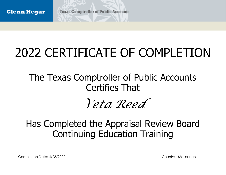## 2022 CERTIFICATE OF COMPLETION

The Texas Comptroller of Public Accounts Certifies That

*Veta Reed*

#### Has Completed the Appraisal Review Board Continuing Education Training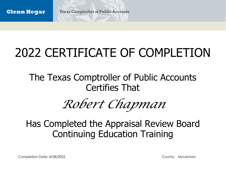## 2022 CERTIFICATE OF COMPLETION

The Texas Comptroller of Public Accounts Certifies That

*Robert Chapman*

#### Has Completed the Appraisal Review Board Continuing Education Training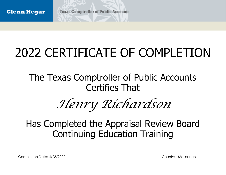## 2022 CERTIFICATE OF COMPLETION

The Texas Comptroller of Public Accounts Certifies That

*Henry Richardson*

#### Has Completed the Appraisal Review Board Continuing Education Training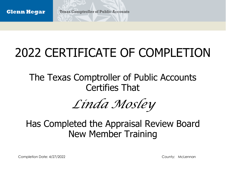## 2022 CERTIFICATE OF COMPLETION

The Texas Comptroller of Public Accounts Certifies That

*Linda Mosley*

#### Has Completed the Appraisal Review Board New Member Training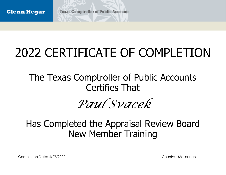## 2022 CERTIFICATE OF COMPLETION

The Texas Comptroller of Public Accounts Certifies That

*Paul Svacek*

#### Has Completed the Appraisal Review Board New Member Training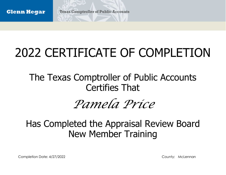## 2022 CERTIFICATE OF COMPLETION

The Texas Comptroller of Public Accounts Certifies That

#### *Pamela Price*

#### Has Completed the Appraisal Review Board New Member Training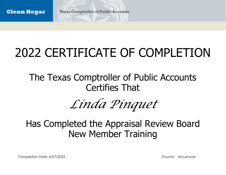## 2022 CERTIFICATE OF COMPLETION

The Texas Comptroller of Public Accounts Certifies That

# *Linda Pinquet*

#### Has Completed the Appraisal Review Board New Member Training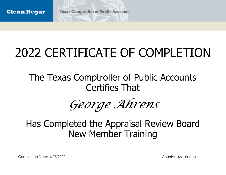## 2022 CERTIFICATE OF COMPLETION

The Texas Comptroller of Public Accounts Certifies That

*George Ahrens*

#### Has Completed the Appraisal Review Board New Member Training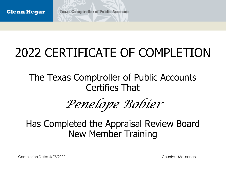## 2022 CERTIFICATE OF COMPLETION

The Texas Comptroller of Public Accounts Certifies That

*Penelope Bobier*

#### Has Completed the Appraisal Review Board New Member Training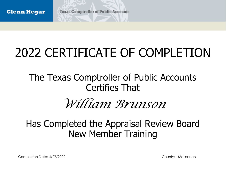## 2022 CERTIFICATE OF COMPLETION

The Texas Comptroller of Public Accounts Certifies That

### *William Brunson*

#### Has Completed the Appraisal Review Board New Member Training